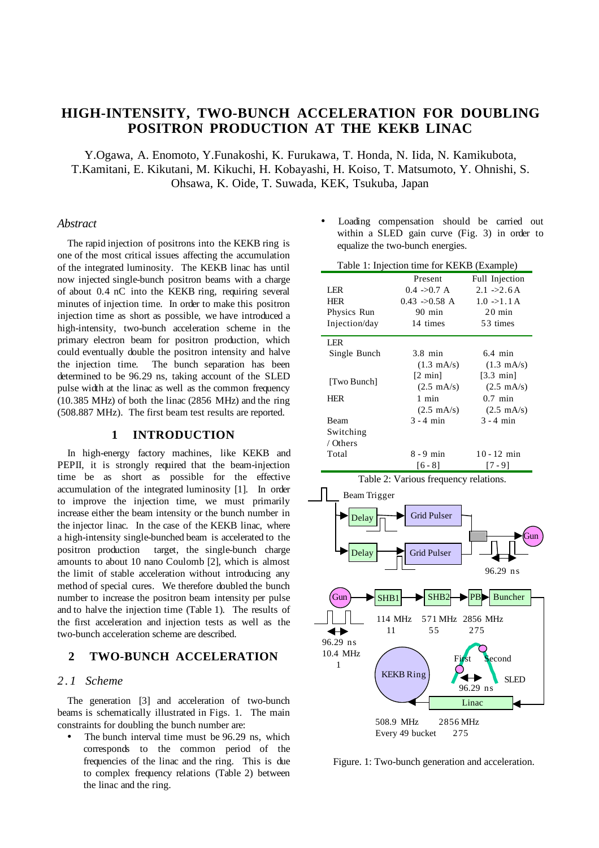# **HIGH-INTENSITY, TWO-BUNCH ACCELERATION FOR DOUBLING POSITRON PRODUCTION AT THE KEKB LINAC**

Y.Ogawa, A. Enomoto, Y.Funakoshi, K. Furukawa, T. Honda, N. Iida, N. Kamikubota, T.Kamitani, E. Kikutani, M. Kikuchi, H. Kobayashi, H. Koiso, T. Matsumoto, Y. Ohnishi, S. Ohsawa, K. Oide, T. Suwada, KEK, Tsukuba, Japan

#### *Abstract*

The rapid injection of positrons into the KEKB ring is one of the most critical issues affecting the accumulation of the integrated luminosity. The KEKB linac has until now injected single-bunch positron beams with a charge of about 0.4 nC into the KEKB ring, requiring several minutes of injection time. In order to make this positron injection time as short as possible, we have introduced a high-intensity, two-bunch acceleration scheme in the primary electron beam for positron production, which could eventually double the positron intensity and halve the injection time. The bunch separation has been determined to be 96.29 ns, taking account of the SLED pulse width at the linac as well as the common frequency (10.385 MHz) of both the linac (2856 MHz) and the ring (508.887 MHz). The first beam test results are reported.

#### **1 INTRODUCTION**

In high-energy factory machines, like KEKB and PEPII, it is strongly required that the beam-injection time be as short as possible for the effective accumulation of the integrated luminosity [1]. In order to improve the injection time, we must primarily increase either the beam intensity or the bunch number in the injector linac. In the case of the KEKB linac, where a high-intensity single-bunched beam is accelerated to the positron production target, the single-bunch charge amounts to about 10 nano Coulomb [2], which is almost the limit of stable acceleration without introducing any method of special cures. We therefore doubled the bunch number to increase the positron beam intensity per pulse and to halve the injection time (Table 1). The results of the first acceleration and injection tests as well as the two-bunch acceleration scheme are described.

## **2 TWO-BUNCH ACCELERATION**

#### *2.1 Scheme*

The generation [3] and acceleration of two-bunch beams is schematically illustrated in Figs. 1. The main constraints for doubling the bunch number are:

The bunch interval time must be 96.29 ns, which corresponds to the common period of the frequencies of the linac and the ring. This is due to complex frequency relations (Table 2) between the linac and the ring.

Loading compensation should be carried out within a SLED gain curve (Fig. 3) in order to equalize the two-bunch energies.

| Table 1: Injection time for KEKB (Example) |                           |                      |  |  |
|--------------------------------------------|---------------------------|----------------------|--|--|
|                                            | Present                   | Full Injection       |  |  |
| LER                                        | 0.4 > 0.7 A               | $2.1 -22.6$ A        |  |  |
| <b>HER</b>                                 | $0.43 \rightarrow 0.58$ A | $1.0 -1.1$ A         |  |  |
| Physics Run                                | $90 \text{ min}$          | $20 \text{ min}$     |  |  |
| Injection/day                              | 14 times                  | 53 times             |  |  |
| LER                                        |                           |                      |  |  |
| Single Bunch                               | $3.8$ min                 | $6.4$ min            |  |  |
|                                            | $(1.3 \text{ mA/s})$      | $(1.3 \text{ mA/s})$ |  |  |
|                                            | $[2 \text{ min}]$         | $[3.3 \text{ min}]$  |  |  |
| [Two Bunch]                                | $(2.5 \text{ mA/s})$      | $(2.5 \text{ mA/s})$ |  |  |
| <b>HER</b>                                 | 1 min                     | $0.7$ min            |  |  |
|                                            | $(2.5 \text{ mA/s})$      | $(2.5 \text{ mA/s})$ |  |  |
| Beam                                       | $3 - 4$ min               | $3 - 4$ min          |  |  |
| Switching                                  |                           |                      |  |  |
| / Others                                   |                           |                      |  |  |
| Total                                      | $8 - 9$ min               | $10 - 12$ min        |  |  |
|                                            | [6 - 8]                   | [7 - 9]              |  |  |



Figure. 1: Two-bunch generation and acceleration.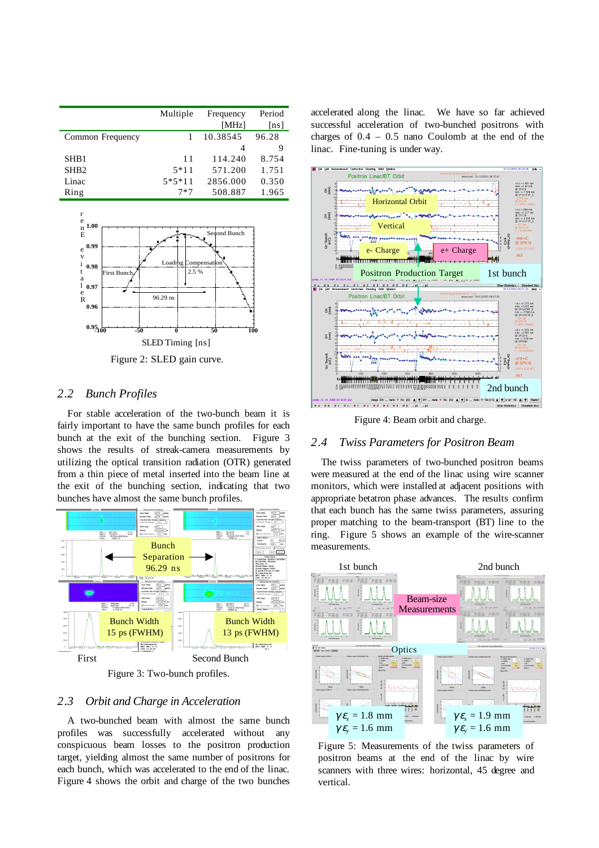|                  | Multiple | Frequency | Period |
|------------------|----------|-----------|--------|
|                  |          | [MHz]     | [ns]   |
| Common Frequency |          | 10.38545  | 96.28  |
|                  |          | 4         | 9      |
| SHB <sub>1</sub> | 11       | 114.240   | 8.754  |
| SH <sub>B2</sub> | $5*11$   | 571.200   | 1.751  |
| Linac            | $5*5*11$ | 2856.000  | 0.350  |
| Ring             | $7*7$    | 508.887   | 1.965  |



Figure 2: SLED gain curve.

### *2.2 Bunch Profiles*

For stable acceleration of the two-bunch beam it is fairly important to have the same bunch profiles for each bunch at the exit of the bunching section. Figure 3 shows the results of streak-camera measurements by utilizing the optical transition radiation (OTR) generated from a thin piece of metal inserted into the beam line at the exit of the bunching section, indicating that two bunches have almost the same bunch profiles.



Figure 3: Two-bunch profiles.

### *2.3 Orbit and Charge in Acceleration*

A two-bunched beam with almost the same bunch profiles was successfully accelerated without any conspicuous beam losses to the positron production target, yielding almost the same number of positrons for each bunch, which was accelerated to the end of the linac. Figure 4 shows the orbit and charge of the two bunches

accelerated along the linac. We have so far achieved successful acceleration of two-bunched positrons with charges of  $0.4 - 0.5$  nano Coulomb at the end of the linac. Fine-tuning is under way.



Figure 4: Beam orbit and charge.

#### *2.4 Twiss Parameters for Positron Beam*

The twiss parameters of two-bunched positron beams were measured at the end of the linac using wire scanner monitors, which were installed at adjacent positions with appropriate betatron phase advances. The results confirm that each bunch has the same twiss parameters, assuring proper matching to the beam-transport (BT) line to the ring. Figure 5 shows an example of the wire-scanner measurements.



Figure 5: Measurements of the twiss parameters of positron beams at the end of the linac by wire scanners with three wires: horizontal, 45 degree and vertical.